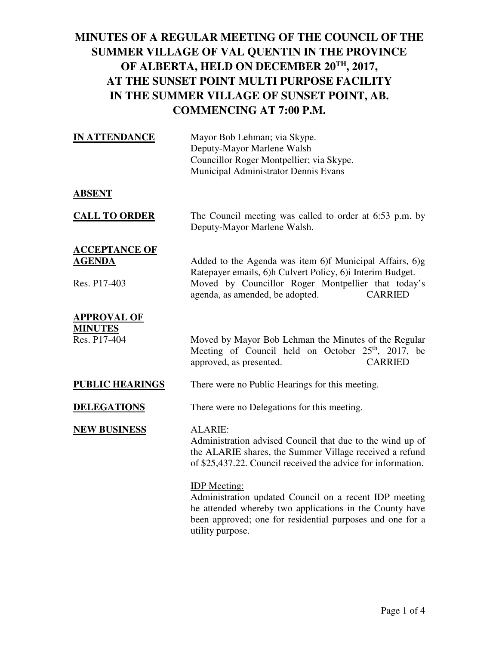| <b>IN ATTENDANCE</b>                                  | Mayor Bob Lehman; via Skype.<br>Deputy-Mayor Marlene Walsh<br>Councillor Roger Montpellier; via Skype.<br>Municipal Administrator Dennis Evans                                                                                  |
|-------------------------------------------------------|---------------------------------------------------------------------------------------------------------------------------------------------------------------------------------------------------------------------------------|
| <b>ABSENT</b>                                         |                                                                                                                                                                                                                                 |
| <b>CALL TO ORDER</b>                                  | The Council meeting was called to order at 6:53 p.m. by<br>Deputy-Mayor Marlene Walsh.                                                                                                                                          |
| <u>ACCEPTANCE OF</u><br><u>AGENDA</u><br>Res. P17-403 | Added to the Agenda was item 6)f Municipal Affairs, 6)g<br>Ratepayer emails, 6)h Culvert Policy, 6)i Interim Budget.<br>Moved by Councillor Roger Montpellier that today's<br>agenda, as amended, be adopted.<br><b>CARRIED</b> |
| <b>APPROVAL OF</b><br><b>MINUTES</b><br>Res. P17-404  | Moved by Mayor Bob Lehman the Minutes of the Regular<br>Meeting of Council held on October $25th$ , 2017, be<br><b>CARRIED</b><br>approved, as presented.                                                                       |
| <u>PUBLIC HEARINGS</u>                                | There were no Public Hearings for this meeting.                                                                                                                                                                                 |
| <u>DELEGATIONS</u>                                    | There were no Delegations for this meeting.                                                                                                                                                                                     |
| <b>NEW BUSINESS</b>                                   | ALARIE:<br>Administration advised Council that due to the wind up of<br>the ALARIE shares, the Summer Village received a refund<br>of \$25,437.22. Council received the advice for information.                                 |
|                                                       | <b>IDP</b> Meeting:<br>Administration updated Council on a recent IDP meeting<br>he attended whereby two applications in the County have<br>been approved; one for residential purposes and one for a<br>utility purpose.       |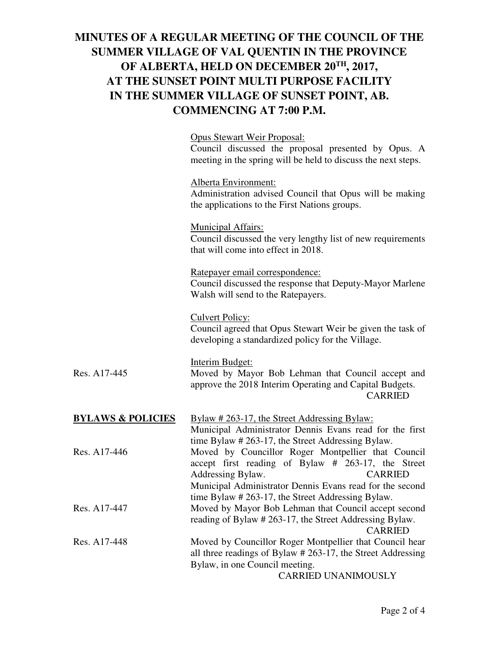|                              | <b>Opus Stewart Weir Proposal:</b><br>Council discussed the proposal presented by Opus. A<br>meeting in the spring will be held to discuss the next steps.                                                  |
|------------------------------|-------------------------------------------------------------------------------------------------------------------------------------------------------------------------------------------------------------|
|                              | Alberta Environment:<br>Administration advised Council that Opus will be making<br>the applications to the First Nations groups.                                                                            |
|                              | <b>Municipal Affairs:</b><br>Council discussed the very lengthy list of new requirements<br>that will come into effect in 2018.                                                                             |
|                              | Ratepayer email correspondence:<br>Council discussed the response that Deputy-Mayor Marlene<br>Walsh will send to the Ratepayers.                                                                           |
|                              | <b>Culvert Policy:</b><br>Council agreed that Opus Stewart Weir be given the task of<br>developing a standardized policy for the Village.                                                                   |
| Res. A17-445                 | <b>Interim Budget:</b><br>Moved by Mayor Bob Lehman that Council accept and<br>approve the 2018 Interim Operating and Capital Budgets.<br><b>CARRIED</b>                                                    |
| <u>BYLAWS &amp; POLICIES</u> | <u>Bylaw # 263-17, the Street Addressing Bylaw:</u><br>Municipal Administrator Dennis Evans read for the first<br>time Bylaw # 263-17, the Street Addressing Bylaw.                                         |
| Res. A17-446                 | Moved by Councillor Roger Montpellier that Council<br>accept first reading of Bylaw # 263-17, the Street<br>Addressing Bylaw.<br><b>CARRIED</b><br>Municipal Administrator Dennis Evans read for the second |
| Res. A17-447                 | time Bylaw # 263-17, the Street Addressing Bylaw.<br>Moved by Mayor Bob Lehman that Council accept second<br>reading of Bylaw # 263-17, the Street Addressing Bylaw.<br><b>CARRIED</b>                      |
| Res. A17-448                 | Moved by Councillor Roger Montpellier that Council hear<br>all three readings of Bylaw # 263-17, the Street Addressing<br>Bylaw, in one Council meeting.<br><b>CARRIED UNANIMOUSLY</b>                      |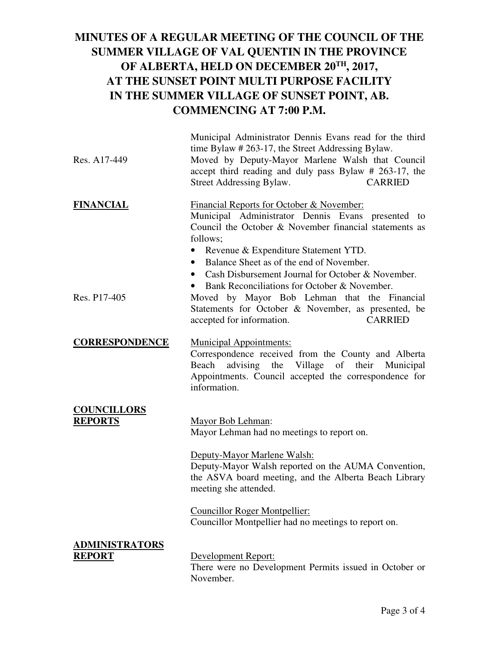| Res. A17-449                           | Municipal Administrator Dennis Evans read for the third<br>time Bylaw # 263-17, the Street Addressing Bylaw.<br>Moved by Deputy-Mayor Marlene Walsh that Council<br>accept third reading and duly pass Bylaw # 263-17, the<br><b>CARRIED</b><br>Street Addressing Bylaw.                                                                                                   |
|----------------------------------------|----------------------------------------------------------------------------------------------------------------------------------------------------------------------------------------------------------------------------------------------------------------------------------------------------------------------------------------------------------------------------|
| <b>FINANCIAL</b>                       | Financial Reports for October & November:<br>Municipal Administrator Dennis Evans presented to<br>Council the October & November financial statements as<br>follows;<br>Revenue & Expenditure Statement YTD.<br>Balance Sheet as of the end of November.<br>$\bullet$<br>Cash Disbursement Journal for October & November.<br>Bank Reconciliations for October & November. |
| Res. P <sub>17</sub> -405              | Moved by Mayor Bob Lehman that the Financial<br>Statements for October & November, as presented, be<br>accepted for information.<br><b>CARRIED</b>                                                                                                                                                                                                                         |
| <b>CORRESPONDENCE</b>                  | <b>Municipal Appointments:</b><br>Correspondence received from the County and Alberta<br>advising the Village of their Municipal<br>Beach<br>Appointments. Council accepted the correspondence for<br>information.                                                                                                                                                         |
| <b>COUNCILLORS</b><br><b>REPORTS</b>   | Mayor Bob Lehman:<br>Mayor Lehman had no meetings to report on.<br>Deputy-Mayor Marlene Walsh:<br>Deputy-Mayor Walsh reported on the AUMA Convention,<br>the ASVA board meeting, and the Alberta Beach Library<br>meeting she attended.<br><b>Councillor Roger Montpellier:</b><br>Councillor Montpellier had no meetings to report on.                                    |
| <b>ADMINISTRATORS</b><br><b>REPORT</b> | Development Report:<br>There were no Development Permits issued in October or<br>November.                                                                                                                                                                                                                                                                                 |